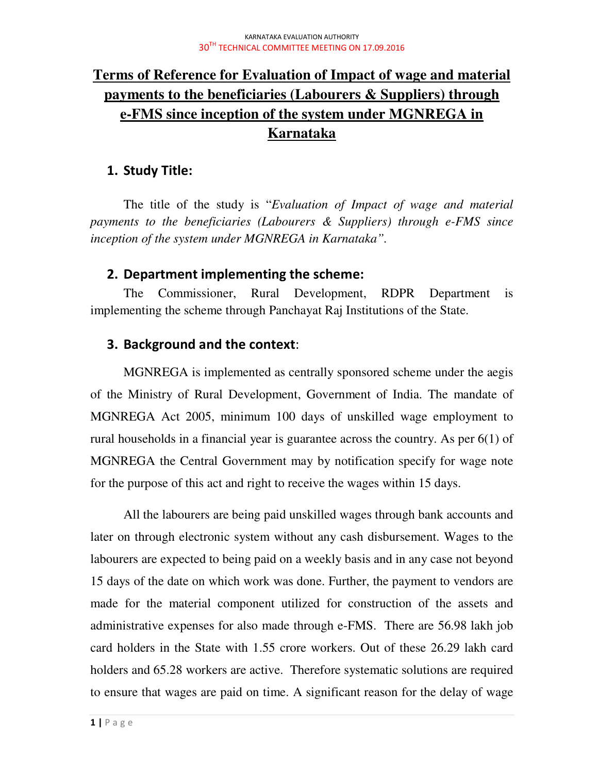# **Terms of Reference for Evaluation of Impact of wage and material payments to the beneficiaries (Labourers & Suppliers) through e-FMS since inception of the system under MGNREGA in Karnataka**

### 1. Study Title:

The title of the study is "*Evaluation of Impact of wage and material payments to the beneficiaries (Labourers & Suppliers) through e-FMS since inception of the system under MGNREGA in Karnataka".* 

### 2. Department implementing the scheme:

The Commissioner, Rural Development, RDPR Department is implementing the scheme through Panchayat Raj Institutions of the State.

## 3. Background and the context:

MGNREGA is implemented as centrally sponsored scheme under the aegis of the Ministry of Rural Development, Government of India. The mandate of MGNREGA Act 2005, minimum 100 days of unskilled wage employment to rural households in a financial year is guarantee across the country. As per 6(1) of MGNREGA the Central Government may by notification specify for wage note for the purpose of this act and right to receive the wages within 15 days.

All the labourers are being paid unskilled wages through bank accounts and later on through electronic system without any cash disbursement. Wages to the labourers are expected to being paid on a weekly basis and in any case not beyond 15 days of the date on which work was done. Further, the payment to vendors are made for the material component utilized for construction of the assets and administrative expenses for also made through e-FMS. There are 56.98 lakh job card holders in the State with 1.55 crore workers. Out of these 26.29 lakh card holders and  $65.28$  workers are active. Therefore systematic solutions are required to ensure that wages are paid on time. A significant reason for the delay of wage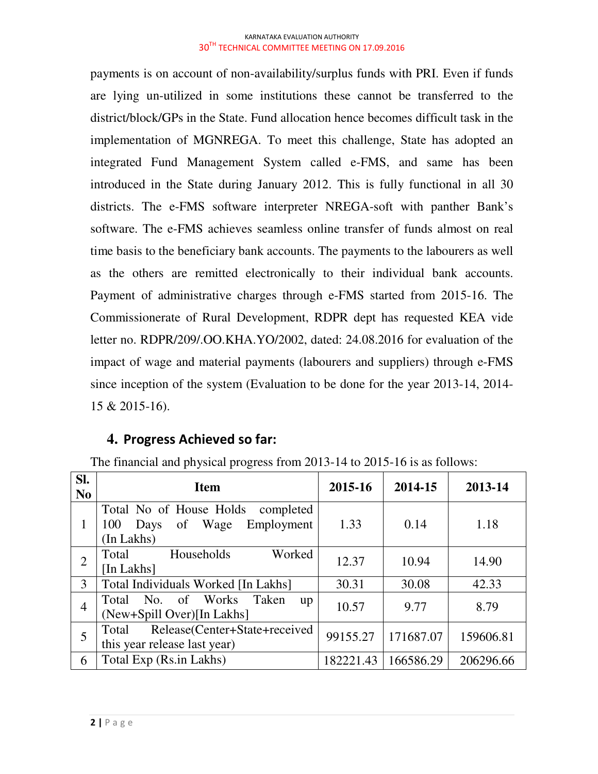payments is on account of non-availability/surplus funds with PRI. Even if funds are lying un-utilized in some institutions these cannot be transferred to the district/block/GPs in the State. Fund allocation hence becomes difficult task in the implementation of MGNREGA. To meet this challenge, State has adopted an integrated Fund Management System called e-FMS, and same has been introduced in the State during January 2012. This is fully functional in all 30 districts. The e-FMS software interpreter NREGA-soft with panther Bank's software. The e-FMS achieves seamless online transfer of funds almost on real time basis to the beneficiary bank accounts. The payments to the labourers as well as the others are remitted electronically to their individual bank accounts. Payment of administrative charges through e-FMS started from 2015-16. The Commissionerate of Rural Development, RDPR dept has requested KEA vide letter no. RDPR/209/.OO.KHA.YO/2002, dated: 24.08.2016 for evaluation of the impact of wage and material payments (labourers and suppliers) through e-FMS since inception of the system (Evaluation to be done for the year 2013-14, 2014- 15 & 2015-16).

### **4.** Progress Achieved so far:

| SI.<br>N <sub>0</sub> | <b>Item</b>                                                                                   | 2015-16   | 2014-15   | 2013-14   |
|-----------------------|-----------------------------------------------------------------------------------------------|-----------|-----------|-----------|
|                       | Total No of House Holds<br>completed<br>Employment<br>Wage<br>100<br>of<br>Days<br>(In Lakhs) | 1.33      | 0.14      | 1.18      |
| $\overline{2}$        | Worked<br>Households<br>Total<br>[In Lakhs]                                                   | 12.37     | 10.94     | 14.90     |
| 3                     | Total Individuals Worked [In Lakhs]                                                           | 30.31     | 30.08     | 42.33     |
| $\overline{4}$        | Total No. of Works<br>Taken<br>up<br>(New+Spill Over)[In Lakhs]                               | 10.57     | 9.77      | 8.79      |
| 5                     | Release(Center+State+received<br>Total<br>this year release last year)                        | 99155.27  | 171687.07 | 159606.81 |
| 6                     | Total Exp (Rs.in Lakhs)                                                                       | 182221.43 | 166586.29 | 206296.66 |

The financial and physical progress from 2013-14 to 2015-16 is as follows: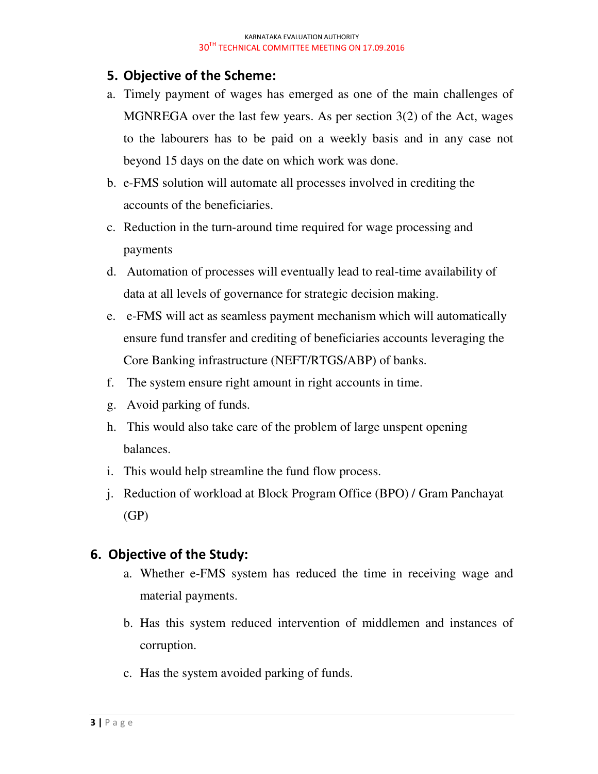### 5. Objective of the Scheme:

- a. Timely payment of wages has emerged as one of the main challenges of MGNREGA over the last few years. As per section 3(2) of the Act, wages to the labourers has to be paid on a weekly basis and in any case not beyond 15 days on the date on which work was done.
- b. e-FMS solution will automate all processes involved in crediting the accounts of the beneficiaries.
- c. Reduction in the turn-around time required for wage processing and payments
- d. Automation of processes will eventually lead to real-time availability of data at all levels of governance for strategic decision making.
- e. e-FMS will act as seamless payment mechanism which will automatically ensure fund transfer and crediting of beneficiaries accounts leveraging the Core Banking infrastructure (NEFT/RTGS/ABP) of banks.
- f. The system ensure right amount in right accounts in time.
- g. Avoid parking of funds.
- h. This would also take care of the problem of large unspent opening balances.
- i. This would help streamline the fund flow process.
- j. Reduction of workload at Block Program Office (BPO) / Gram Panchayat (GP)

### 6. Objective of the Study:

- a. Whether e-FMS system has reduced the time in receiving wage and material payments.
- b. Has this system reduced intervention of middlemen and instances of corruption.
- c. Has the system avoided parking of funds.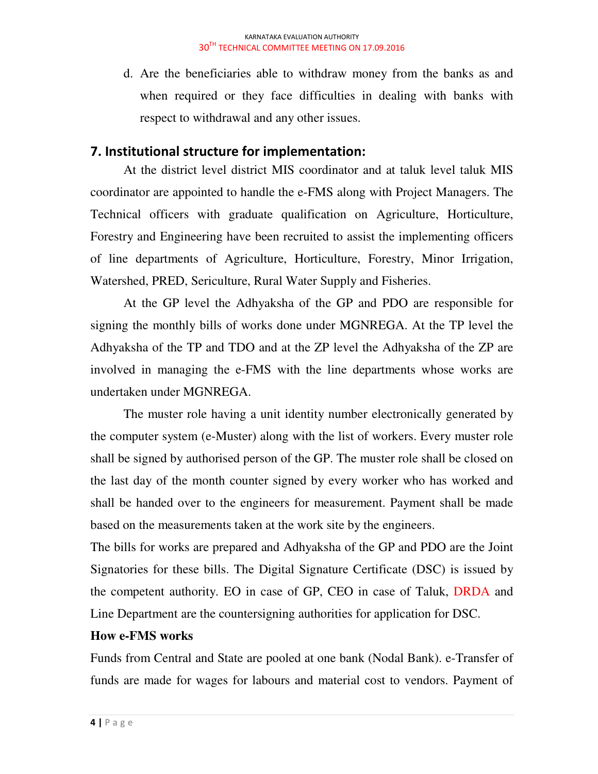d. Are the beneficiaries able to withdraw money from the banks as and when required or they face difficulties in dealing with banks with respect to withdrawal and any other issues.

## 7. Institutional structure for implementation:

At the district level district MIS coordinator and at taluk level taluk MIS coordinator are appointed to handle the e-FMS along with Project Managers. The Technical officers with graduate qualification on Agriculture, Horticulture, Forestry and Engineering have been recruited to assist the implementing officers of line departments of Agriculture, Horticulture, Forestry, Minor Irrigation, Watershed, PRED, Sericulture, Rural Water Supply and Fisheries.

At the GP level the Adhyaksha of the GP and PDO are responsible for signing the monthly bills of works done under MGNREGA. At the TP level the Adhyaksha of the TP and TDO and at the ZP level the Adhyaksha of the ZP are involved in managing the e-FMS with the line departments whose works are undertaken under MGNREGA.

The muster role having a unit identity number electronically generated by the computer system (e-Muster) along with the list of workers. Every muster role shall be signed by authorised person of the GP. The muster role shall be closed on the last day of the month counter signed by every worker who has worked and shall be handed over to the engineers for measurement. Payment shall be made based on the measurements taken at the work site by the engineers.

The bills for works are prepared and Adhyaksha of the GP and PDO are the Joint Signatories for these bills. The Digital Signature Certificate (DSC) is issued by the competent authority. EO in case of GP, CEO in case of Taluk, DRDA and Line Department are the countersigning authorities for application for DSC.

### **How e-FMS works**

Funds from Central and State are pooled at one bank (Nodal Bank). e-Transfer of funds are made for wages for labours and material cost to vendors. Payment of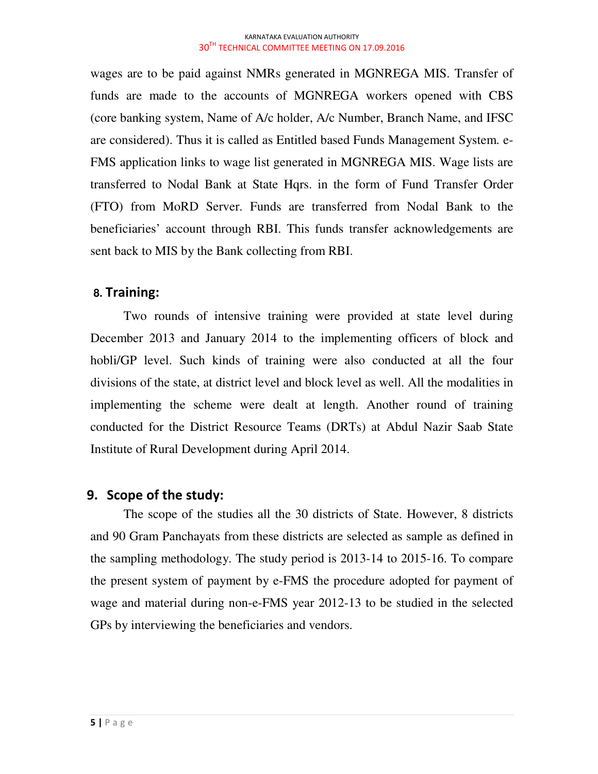wages are to be paid against NMRs generated in MGNREGA MIS. Transfer of funds are made to the accounts of MGNREGA workers opened with CBS (core banking system, Name of A/c holder, A/c Number, Branch Name, and IFSC are considered). Thus it is called as Entitled based Funds Management System. e-FMS application links to wage list generated in MGNREGA MIS. Wage lists are transferred to Nodal Bank at State Hqrs. in the form of Fund Transfer Order (FTO) from MoRD Server. Funds are transferred from Nodal Bank to the beneficiaries' account through RBI. This funds transfer acknowledgements are sent back to MIS by the Bank collecting from RBI.

### **8.** Training:

Two rounds of intensive training were provided at state level during December 2013 and January 2014 to the implementing officers of block and hobli/GP level. Such kinds of training were also conducted at all the four divisions of the state, at district level and block level as well. All the modalities in implementing the scheme were dealt at length. Another round of training conducted for the District Resource Teams (DRTs) at Abdul Nazir Saab State Institute of Rural Development during April 2014.

### 9. Scope of the study:

 The scope of the studies all the 30 districts of State. However, 8 districts and 90 Gram Panchayats from these districts are selected as sample as defined in the sampling methodology. The study period is 2013-14 to 2015-16. To compare the present system of payment by e-FMS the procedure adopted for payment of wage and material during non-e-FMS year 2012-13 to be studied in the selected GPs by interviewing the beneficiaries and vendors.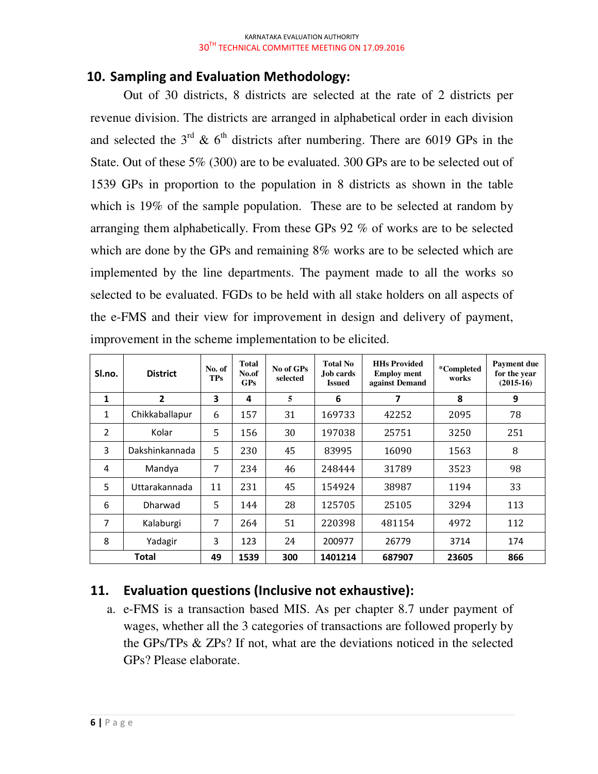## 10. Sampling and Evaluation Methodology:

Out of 30 districts, 8 districts are selected at the rate of 2 districts per revenue division. The districts are arranged in alphabetical order in each division and selected the  $3<sup>rd</sup>$  & 6<sup>th</sup> districts after numbering. There are 6019 GPs in the State. Out of these 5% (300) are to be evaluated. 300 GPs are to be selected out of 1539 GPs in proportion to the population in 8 districts as shown in the table which is 19% of the sample population. These are to be selected at random by arranging them alphabetically. From these GPs 92 % of works are to be selected which are done by the GPs and remaining 8% works are to be selected which are implemented by the line departments. The payment made to all the works so selected to be evaluated. FGDs to be held with all stake holders on all aspects of the e-FMS and their view for improvement in design and delivery of payment, improvement in the scheme implementation to be elicited.

| Sl.no.         | <b>District</b> | No. of<br><b>TPs</b> | Total<br>No.of<br>GPS | No of GPs<br>selected | <b>Total No</b><br>Job cards<br><b>Issued</b> | <b>HHs Provided</b><br><b>Employ ment</b><br>against Demand | *Completed<br>works | Payment due<br>for the year<br>$(2015-16)$ |
|----------------|-----------------|----------------------|-----------------------|-----------------------|-----------------------------------------------|-------------------------------------------------------------|---------------------|--------------------------------------------|
| $\mathbf{1}$   | $\overline{2}$  | 3                    | 4                     | 5                     | 6                                             | 7                                                           | 8                   | 9                                          |
| $\mathbf{1}$   | Chikkaballapur  | 6                    | 157                   | 31                    | 169733                                        | 42252                                                       | 2095                | 78                                         |
| $\overline{2}$ | Kolar           | 5                    | 156                   | 30                    | 197038                                        | 25751                                                       | 3250                | 251                                        |
| 3              | Dakshinkannada  | 5                    | 230                   | 45                    | 83995                                         | 16090                                                       | 1563                | 8                                          |
| 4              | Mandya          | 7                    | 234                   | 46                    | 248444                                        | 31789                                                       | 3523                | 98                                         |
| 5              | Uttarakannada   | 11                   | 231                   | 45                    | 154924                                        | 38987                                                       | 1194                | 33                                         |
| 6              | Dharwad         | 5                    | 144                   | 28                    | 125705                                        | 25105                                                       | 3294                | 113                                        |
| 7              | Kalaburgi       | 7                    | 264                   | 51                    | 220398                                        | 481154                                                      | 4972                | 112                                        |
| 8              | Yadagir         | 3                    | 123                   | 24                    | 200977                                        | 26779                                                       | 3714                | 174                                        |
| Total          |                 | 49                   | 1539                  | 300                   | 1401214                                       | 687907                                                      | 23605               | 866                                        |

# 11. Evaluation questions (Inclusive not exhaustive):

a. e-FMS is a transaction based MIS. As per chapter 8.7 under payment of wages, whether all the 3 categories of transactions are followed properly by the GPs/TPs & ZPs? If not, what are the deviations noticed in the selected GPs? Please elaborate.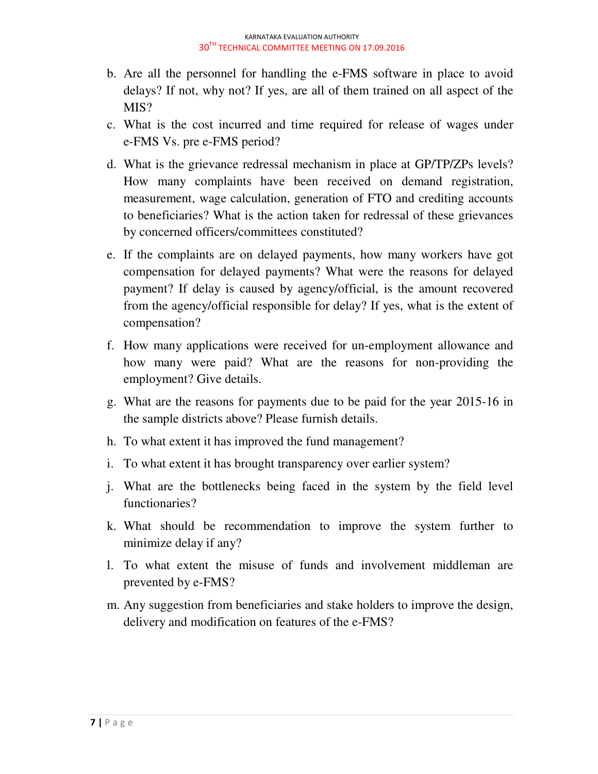- b. Are all the personnel for handling the e-FMS software in place to avoid delays? If not, why not? If yes, are all of them trained on all aspect of the MIS?
- c. What is the cost incurred and time required for release of wages under e-FMS Vs. pre e-FMS period?
- d. What is the grievance redressal mechanism in place at GP/TP/ZPs levels? How many complaints have been received on demand registration, measurement, wage calculation, generation of FTO and crediting accounts to beneficiaries? What is the action taken for redressal of these grievances by concerned officers/committees constituted?
- e. If the complaints are on delayed payments, how many workers have got compensation for delayed payments? What were the reasons for delayed payment? If delay is caused by agency/official, is the amount recovered from the agency/official responsible for delay? If yes, what is the extent of compensation?
- f. How many applications were received for un-employment allowance and how many were paid? What are the reasons for non-providing the employment? Give details.
- g. What are the reasons for payments due to be paid for the year 2015-16 in the sample districts above? Please furnish details.
- h. To what extent it has improved the fund management?
- i. To what extent it has brought transparency over earlier system?
- j. What are the bottlenecks being faced in the system by the field level functionaries?
- k. What should be recommendation to improve the system further to minimize delay if any?
- l. To what extent the misuse of funds and involvement middleman are prevented by e-FMS?
- m. Any suggestion from beneficiaries and stake holders to improve the design, delivery and modification on features of the e-FMS?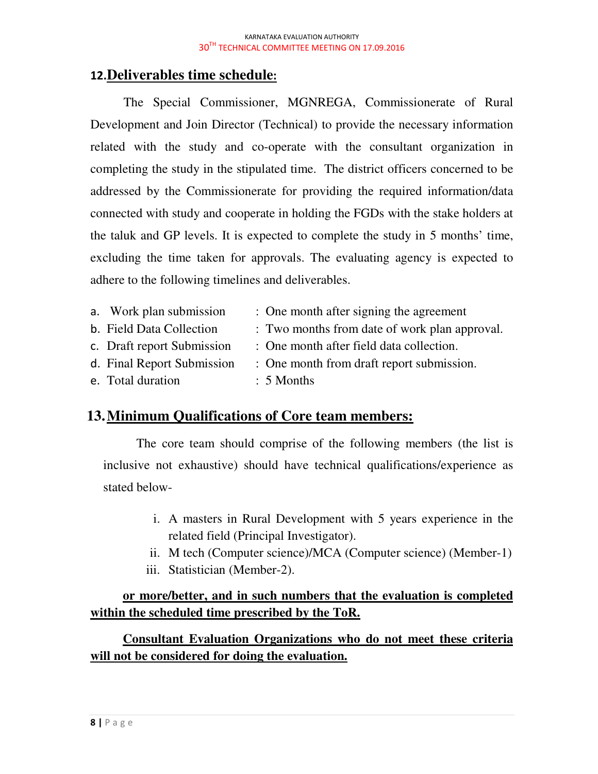## 12.**Deliverables time schedule**:

The Special Commissioner, MGNREGA, Commissionerate of Rural Development and Join Director (Technical) to provide the necessary information related with the study and co-operate with the consultant organization in completing the study in the stipulated time. The district officers concerned to be addressed by the Commissionerate for providing the required information/data connected with study and cooperate in holding the FGDs with the stake holders at the taluk and GP levels. It is expected to complete the study in 5 months' time, excluding the time taken for approvals. The evaluating agency is expected to adhere to the following timelines and deliverables.

| a. Work plan submission    | : One month after signing the agreement       |
|----------------------------|-----------------------------------------------|
| b. Field Data Collection   | : Two months from date of work plan approval. |
| c. Draft report Submission | : One month after field data collection.      |
| d. Final Report Submission | : One month from draft report submission.     |
| e. Total duration          | $: 5$ Months                                  |

## **13.Minimum Qualifications of Core team members:**

The core team should comprise of the following members (the list is inclusive not exhaustive) should have technical qualifications/experience as stated below-

- i. A masters in Rural Development with 5 years experience in the related field (Principal Investigator).
- ii. M tech (Computer science)/MCA (Computer science) (Member-1)
- iii. Statistician (Member-2).

## **or more/better, and in such numbers that the evaluation is completed within the scheduled time prescribed by the ToR.**

**Consultant Evaluation Organizations who do not meet these criteria will not be considered for doing the evaluation.**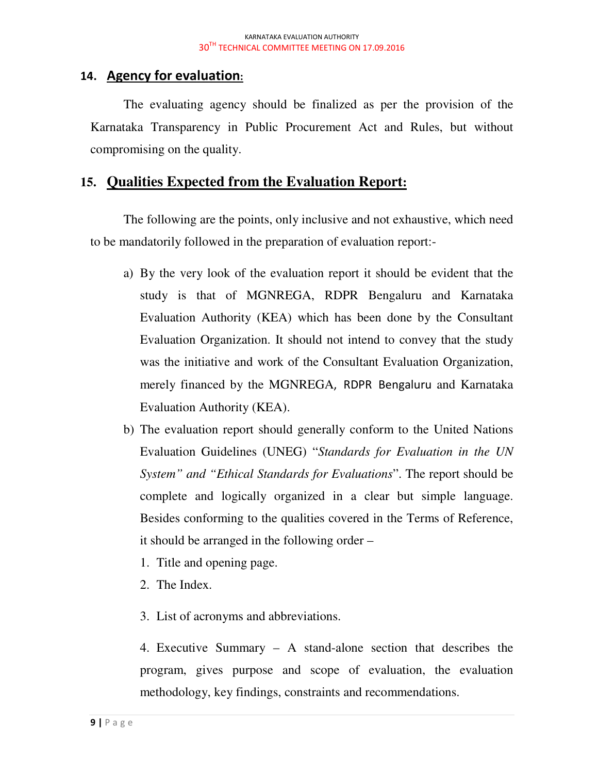### 14. Agency for evaluation:

The evaluating agency should be finalized as per the provision of the Karnataka Transparency in Public Procurement Act and Rules, but without compromising on the quality.

### **15. Qualities Expected from the Evaluation Report:**

The following are the points, only inclusive and not exhaustive, which need to be mandatorily followed in the preparation of evaluation report:-

- a) By the very look of the evaluation report it should be evident that the study is that of MGNREGA, RDPR Bengaluru and Karnataka Evaluation Authority (KEA) which has been done by the Consultant Evaluation Organization. It should not intend to convey that the study was the initiative and work of the Consultant Evaluation Organization, merely financed by the MGNREGA, RDPR Bengaluru and Karnataka Evaluation Authority (KEA).
- b) The evaluation report should generally conform to the United Nations Evaluation Guidelines (UNEG) "*Standards for Evaluation in the UN System" and "Ethical Standards for Evaluations*". The report should be complete and logically organized in a clear but simple language. Besides conforming to the qualities covered in the Terms of Reference, it should be arranged in the following order –
	- 1. Title and opening page.
	- 2. The Index.
	- 3. List of acronyms and abbreviations.

4. Executive Summary – A stand-alone section that describes the program, gives purpose and scope of evaluation, the evaluation methodology, key findings, constraints and recommendations.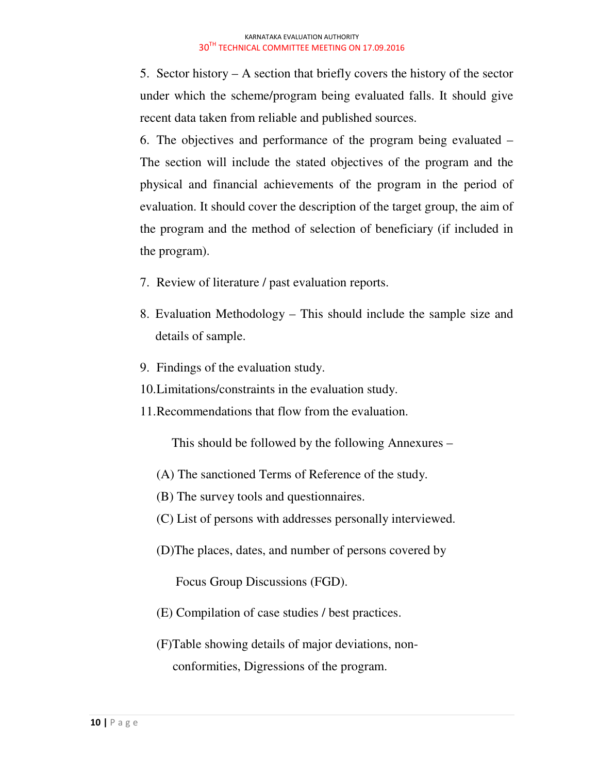5. Sector history – A section that briefly covers the history of the sector under which the scheme/program being evaluated falls. It should give recent data taken from reliable and published sources.

6. The objectives and performance of the program being evaluated – The section will include the stated objectives of the program and the physical and financial achievements of the program in the period of evaluation. It should cover the description of the target group, the aim of the program and the method of selection of beneficiary (if included in the program).

- 7. Review of literature / past evaluation reports.
- 8. Evaluation Methodology This should include the sample size and details of sample.
- 9. Findings of the evaluation study.
- 10. Limitations/constraints in the evaluation study.
- 11. Recommendations that flow from the evaluation.

This should be followed by the following Annexures –

- (A) The sanctioned Terms of Reference of the study.
- (B) The survey tools and questionnaires.
- (C) List of persons with addresses personally interviewed.
- (D)The places, dates, and number of persons covered by

Focus Group Discussions (FGD).

- (E) Compilation of case studies / best practices.
- (F)Table showing details of major deviations, non conformities, Digressions of the program.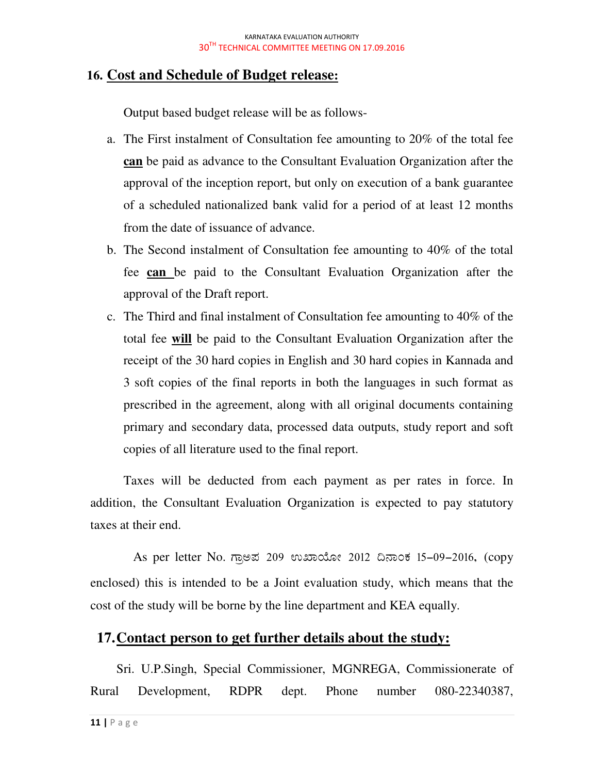### **16. Cost and Schedule of Budget release:**

Output based budget release will be as follows-

- a. The First instalment of Consultation fee amounting to 20% of the total fee **can** be paid as advance to the Consultant Evaluation Organization after the approval of the inception report, but only on execution of a bank guarantee of a scheduled nationalized bank valid for a period of at least 12 months from the date of issuance of advance.
- b. The Second instalment of Consultation fee amounting to 40% of the total fee **can** be paid to the Consultant Evaluation Organization after the approval of the Draft report.
- c. The Third and final instalment of Consultation fee amounting to 40% of the total fee **will** be paid to the Consultant Evaluation Organization after the receipt of the 30 hard copies in English and 30 hard copies in Kannada and 3 soft copies of the final reports in both the languages in such format as prescribed in the agreement, along with all original documents containing primary and secondary data, processed data outputs, study report and soft copies of all literature used to the final report.

Taxes will be deducted from each payment as per rates in force. In addition, the Consultant Evaluation Organization is expected to pay statutory taxes at their end.

As per letter No. ಗಾಅಪ 209 ಉಖಾಯೋ 2012 ದಿನಾಂಕ 15-09-2016, (copy enclosed) this is intended to be a Joint evaluation study, which means that the cost of the study will be borne by the line department and KEA equally.

### **17.Contact person to get further details about the study:**

Sri. U.P.Singh, Special Commissioner, MGNREGA, Commissionerate of Rural Development, RDPR dept. Phone number 080-22340387,